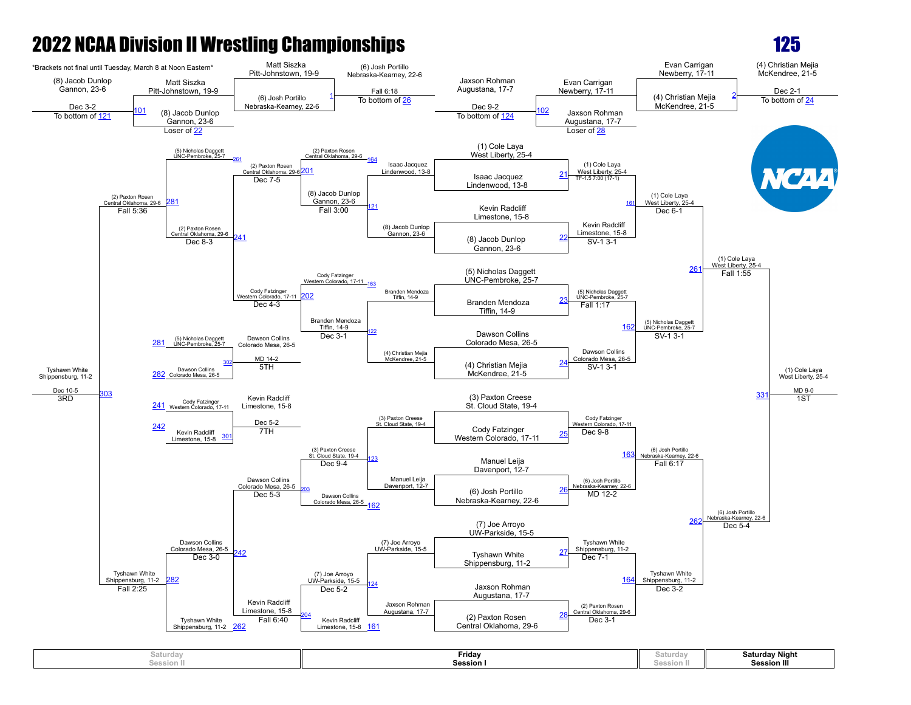

| Saturday                     | Friday           | aturdavد          | <b>Saturday Night</b> |
|------------------------------|------------------|-------------------|-----------------------|
| A - - - 1 - - -<br>Session . | <b>Session I</b> | <b>Cession II</b> | <b>Session III</b>    |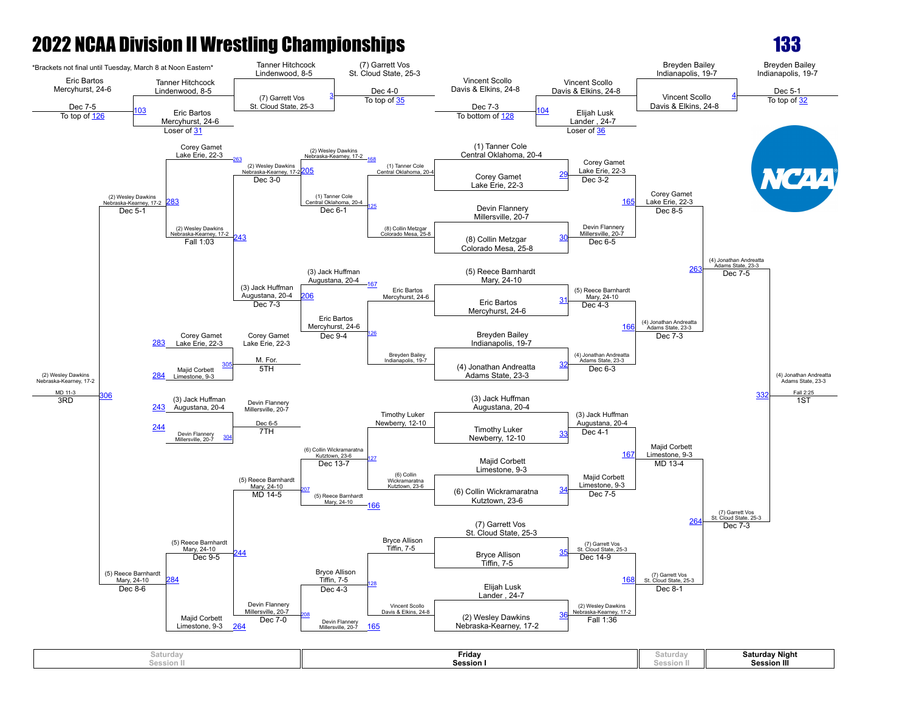

| <b>Saturday Night</b><br>Friday<br>saturday<br>aturdavد<br><b>Session III</b><br><b>Session</b><br>iession II<br>___<br>iession II |
|------------------------------------------------------------------------------------------------------------------------------------|
|------------------------------------------------------------------------------------------------------------------------------------|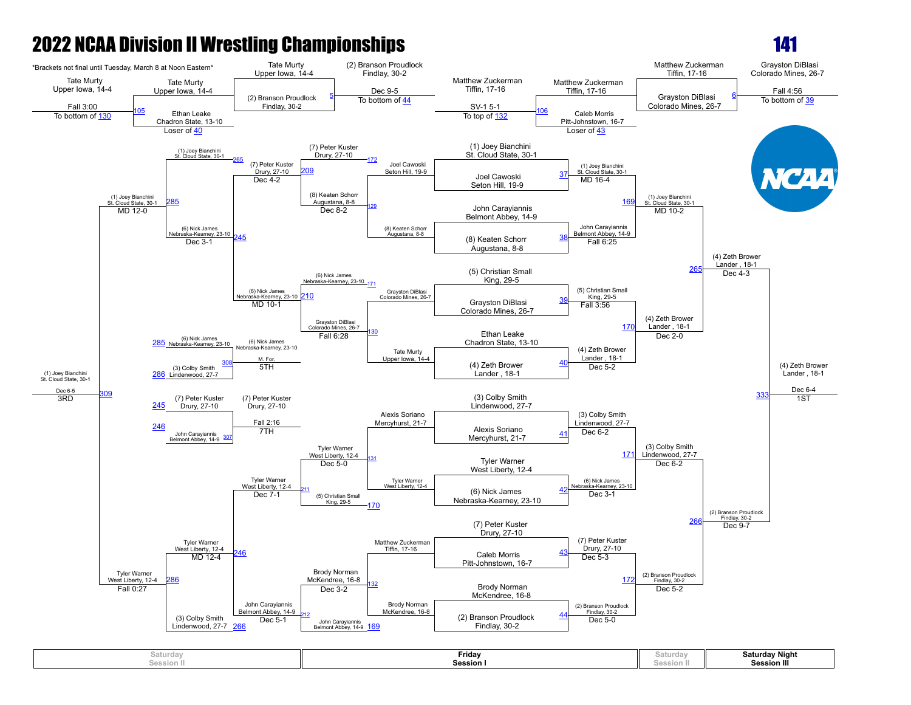

| 's and av<br>Saturda<br>Session. | Friday<br><b>Session</b> | วสเนท<br>Soc.<br>JUSSIUII II | <b>Saturday Night</b><br><b>Session III</b> |
|----------------------------------|--------------------------|------------------------------|---------------------------------------------|
|----------------------------------|--------------------------|------------------------------|---------------------------------------------|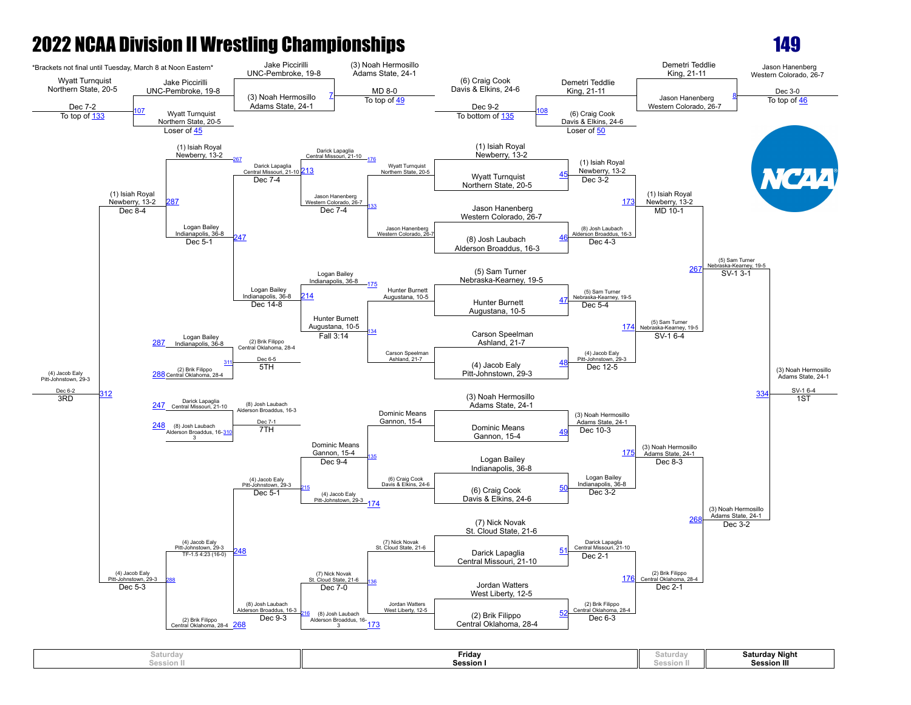

| Saturday<br>$- - - - - -$<br>session II | Friday<br>Session I | Saturda<br>Concinnati<br><b>PESSION</b> | Saturday Night<br><b>Session III</b> |
|-----------------------------------------|---------------------|-----------------------------------------|--------------------------------------|
|                                         |                     |                                         |                                      |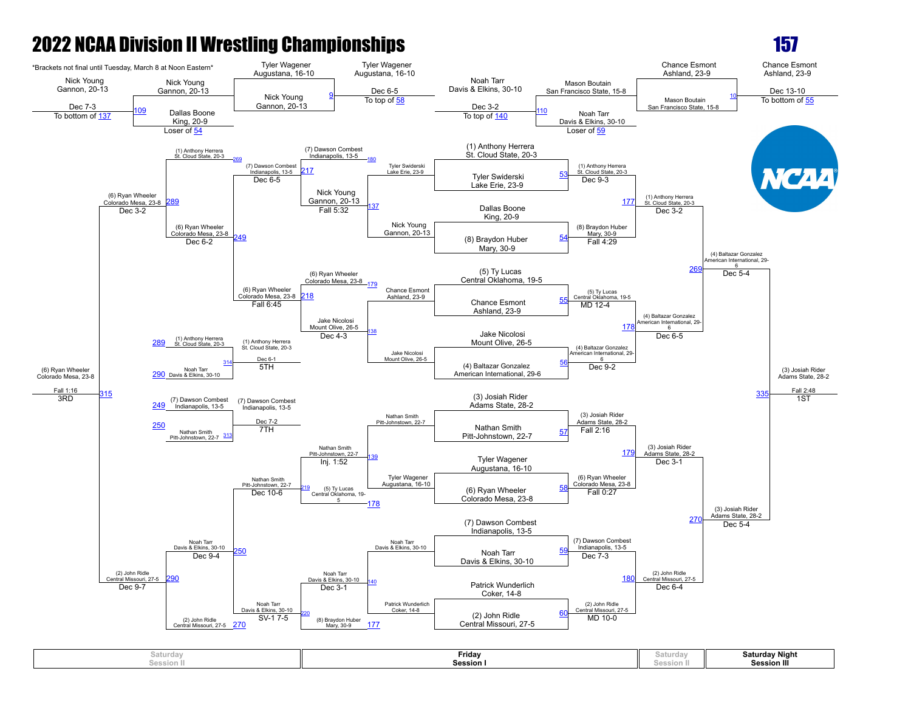

| saturday  | Fridav  | Saturda  | <b>Saturday Night</b> |
|-----------|---------|----------|-----------------------|
| Session h | Session | session. | <b>Session III</b>    |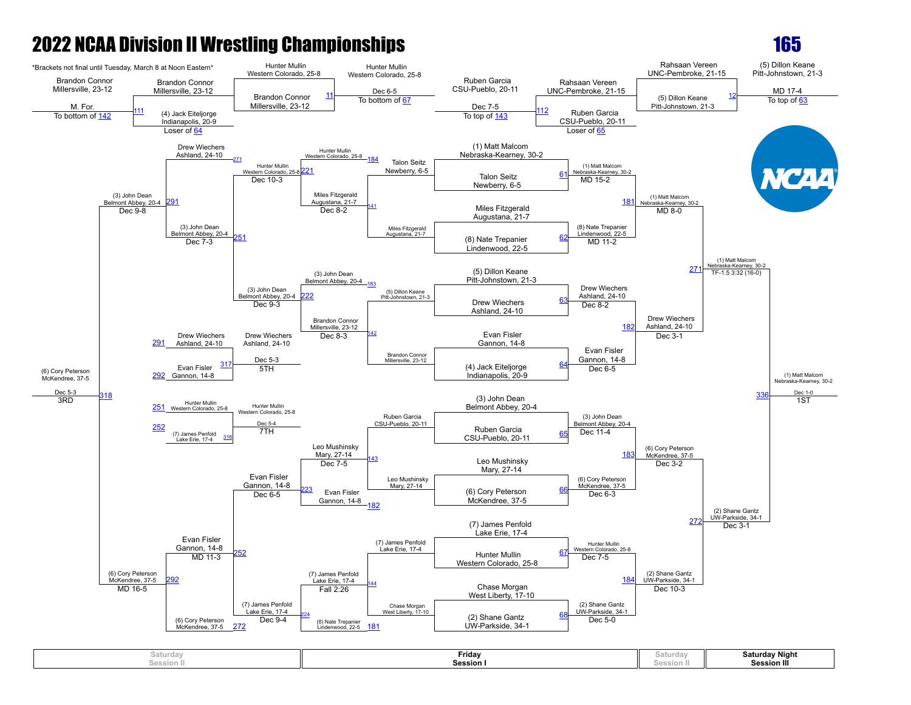

165

**Saturday Session II Friday Session I Saturday Session II Saturday Night Session III**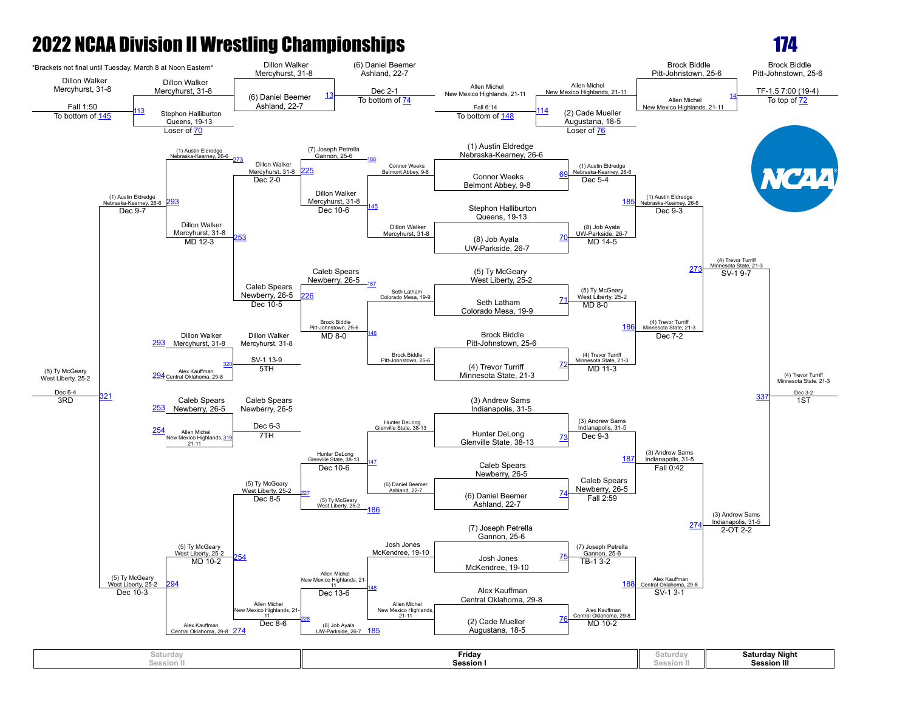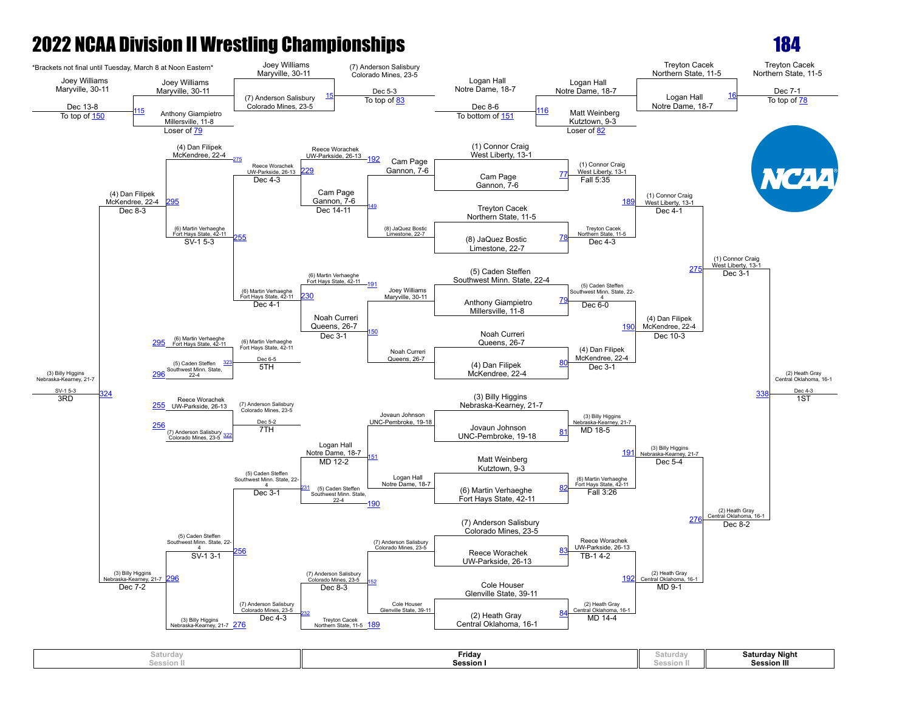

| Saturday   | Friday           | aturdav  | <b>Saturday Night</b> |
|------------|------------------|----------|-----------------------|
| Session II | <b>Session I</b> | JUSSIUI. | <b>Session III</b>    |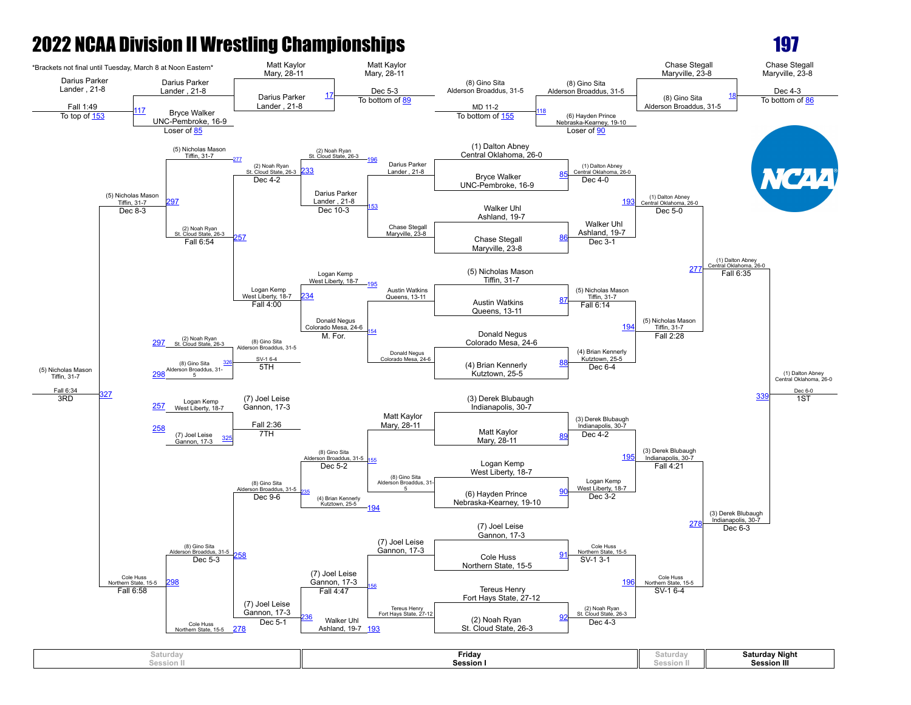